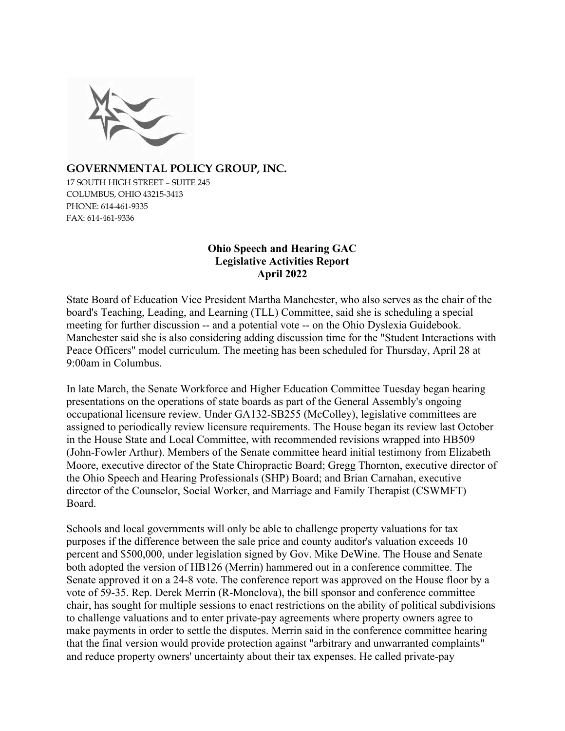

### **GOVERNMENTAL POLICY GROUP, INC.**

17 SOUTH HIGH STREET – SUITE 245 COLUMBUS, OHIO 43215-3413 PHONE: 614-461-9335 FAX: 614-461-9336

### **Ohio Speech and Hearing GAC Legislative Activities Report April 2022**

State Board of Education Vice President Martha Manchester, who also serves as the chair of the board's Teaching, Leading, and Learning (TLL) Committee, said she is scheduling a special meeting for further discussion -- and a potential vote -- on the Ohio Dyslexia Guidebook. Manchester said she is also considering adding discussion time for the "Student Interactions with Peace Officers" model curriculum. The meeting has been scheduled for Thursday, April 28 at 9:00am in Columbus.

In late March, the Senate Workforce and Higher Education Committee Tuesday began hearing presentations on the operations of state boards as part of the General Assembly's ongoing occupational licensure review. Under GA132-SB255 (McColley), legislative committees are assigned to periodically review licensure requirements. The House began its review last October in the House State and Local Committee, with recommended revisions wrapped into HB509 (John-Fowler Arthur). Members of the Senate committee heard initial testimony from Elizabeth Moore, executive director of the State Chiropractic Board; Gregg Thornton, executive director of the Ohio Speech and Hearing Professionals (SHP) Board; and Brian Carnahan, executive director of the Counselor, Social Worker, and Marriage and Family Therapist (CSWMFT) Board.

Schools and local governments will only be able to challenge property valuations for tax purposes if the difference between the sale price and county auditor's valuation exceeds 10 percent and \$500,000, under legislation signed by Gov. Mike DeWine. The House and Senate both adopted the version of HB126 (Merrin) hammered out in a conference committee. The Senate approved it on a 24-8 vote. The conference report was approved on the House floor by a vote of 59-35. Rep. Derek Merrin (R-Monclova), the bill sponsor and conference committee chair, has sought for multiple sessions to enact restrictions on the ability of political subdivisions to challenge valuations and to enter private-pay agreements where property owners agree to make payments in order to settle the disputes. Merrin said in the conference committee hearing that the final version would provide protection against "arbitrary and unwarranted complaints" and reduce property owners' uncertainty about their tax expenses. He called private-pay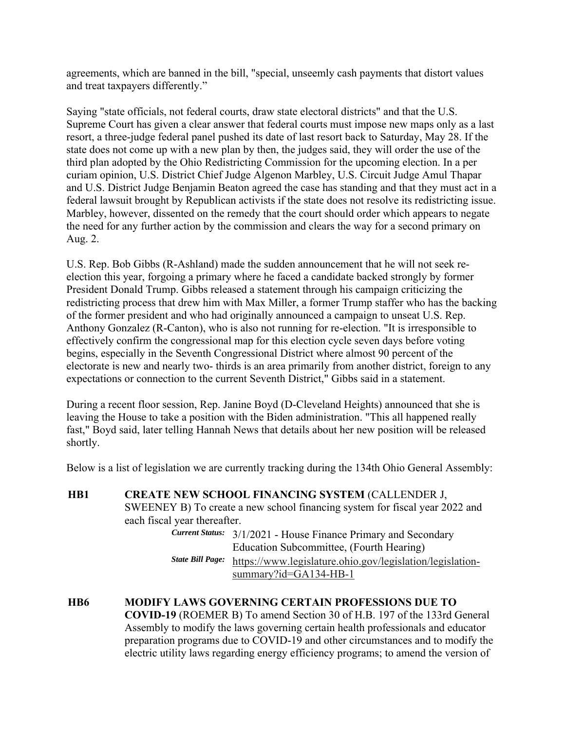agreements, which are banned in the bill, "special, unseemly cash payments that distort values and treat taxpayers differently."

Saying "state officials, not federal courts, draw state electoral districts" and that the U.S. Supreme Court has given a clear answer that federal courts must impose new maps only as a last resort, a three-judge federal panel pushed its date of last resort back to Saturday, May 28. If the state does not come up with a new plan by then, the judges said, they will order the use of the third plan adopted by the Ohio Redistricting Commission for the upcoming election. In a per curiam opinion, U.S. District Chief Judge Algenon Marbley, U.S. Circuit Judge Amul Thapar and U.S. District Judge Benjamin Beaton agreed the case has standing and that they must act in a federal lawsuit brought by Republican activists if the state does not resolve its redistricting issue. Marbley, however, dissented on the remedy that the court should order which appears to negate the need for any further action by the commission and clears the way for a second primary on Aug. 2.

U.S. Rep. Bob Gibbs (R-Ashland) made the sudden announcement that he will not seek reelection this year, forgoing a primary where he faced a candidate backed strongly by former President Donald Trump. Gibbs released a statement through his campaign criticizing the redistricting process that drew him with Max Miller, a former Trump staffer who has the backing of the former president and who had originally announced a campaign to unseat U.S. Rep. Anthony Gonzalez (R-Canton), who is also not running for re-election. "It is irresponsible to effectively confirm the congressional map for this election cycle seven days before voting begins, especially in the Seventh Congressional District where almost 90 percent of the electorate is new and nearly two- thirds is an area primarily from another district, foreign to any expectations or connection to the current Seventh District," Gibbs said in a statement.

During a recent floor session, Rep. Janine Boyd (D-Cleveland Heights) announced that she is leaving the House to take a position with the Biden administration. "This all happened really fast," Boyd said, later telling Hannah News that details about her new position will be released shortly.

Below is a list of legislation we are currently tracking during the 134th Ohio General Assembly:

**HB1 CREATE NEW SCHOOL FINANCING SYSTEM** (CALLENDER J, SWEENEY B) To create a new school financing system for fiscal year 2022 and each fiscal year thereafter.

 *Current Status:* 3/1/2021 - House Finance Primary and Secondary Education Subcommittee, (Fourth Hearing) *State Bill Page:* https://www.legislature.ohio.gov/legislation/legislationsummary?id=GA134-HB-1

**HB6 MODIFY LAWS GOVERNING CERTAIN PROFESSIONS DUE TO COVID-19** (ROEMER B) To amend Section 30 of H.B. 197 of the 133rd General Assembly to modify the laws governing certain health professionals and educator preparation programs due to COVID-19 and other circumstances and to modify the electric utility laws regarding energy efficiency programs; to amend the version of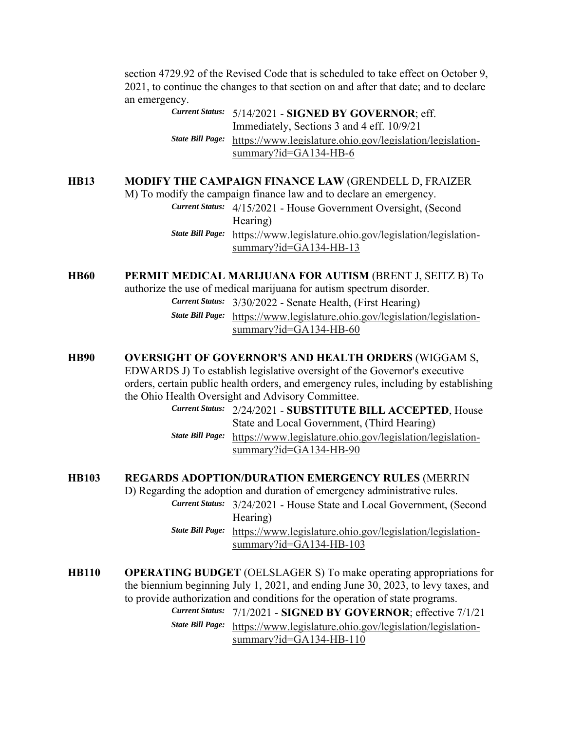section 4729.92 of the Revised Code that is scheduled to take effect on October 9, 2021, to continue the changes to that section on and after that date; and to declare an emergency.

> *Current Status:* 5/14/2021 - **SIGNED BY GOVERNOR**; eff. Immediately, Sections 3 and 4 eff. 10/9/21 *State Bill Page:* https://www.legislature.ohio.gov/legislation/legislationsummary?id=GA134-HB-6

#### **HB13 MODIFY THE CAMPAIGN FINANCE LAW** (GRENDELL D, FRAIZER

M) To modify the campaign finance law and to declare an emergency. *Current Status:* 4/15/2021 - House Government Oversight, (Second Hearing) *State Bill Page:* https://www.legislature.ohio.gov/legislation/legislationsummary?id=GA134-HB-13

**HB60 PERMIT MEDICAL MARIJUANA FOR AUTISM** (BRENT J, SEITZ B) To

authorize the use of medical marijuana for autism spectrum disorder.

 *Current Status:* 3/30/2022 - Senate Health, (First Hearing) *State Bill Page:* https://www.legislature.ohio.gov/legislation/legislationsummary?id=GA134-HB-60

#### **HB90 OVERSIGHT OF GOVERNOR'S AND HEALTH ORDERS** (WIGGAM S,

EDWARDS J) To establish legislative oversight of the Governor's executive orders, certain public health orders, and emergency rules, including by establishing the Ohio Health Oversight and Advisory Committee.

> *Current Status:* 2/24/2021 - **SUBSTITUTE BILL ACCEPTED**, House State and Local Government, (Third Hearing) *State Bill Page:* https://www.legislature.ohio.gov/legislation/legislationsummary?id=GA134-HB-90

## **HB103 REGARDS ADOPTION/DURATION EMERGENCY RULES** (MERRIN

D) Regarding the adoption and duration of emergency administrative rules.

- *Current Status:* 3/24/2021 House State and Local Government, (Second Hearing)
- *State Bill Page:* https://www.legislature.ohio.gov/legislation/legislationsummary?id=GA134-HB-103
- **HB110 OPERATING BUDGET** (OELSLAGER S) To make operating appropriations for the biennium beginning July 1, 2021, and ending June 30, 2023, to levy taxes, and to provide authorization and conditions for the operation of state programs. *Current Status:* 7/1/2021 - **SIGNED BY GOVERNOR**; effective 7/1/21 *State Bill Page:* https://www.legislature.ohio.gov/legislation/legislationsummary?id=GA134-HB-110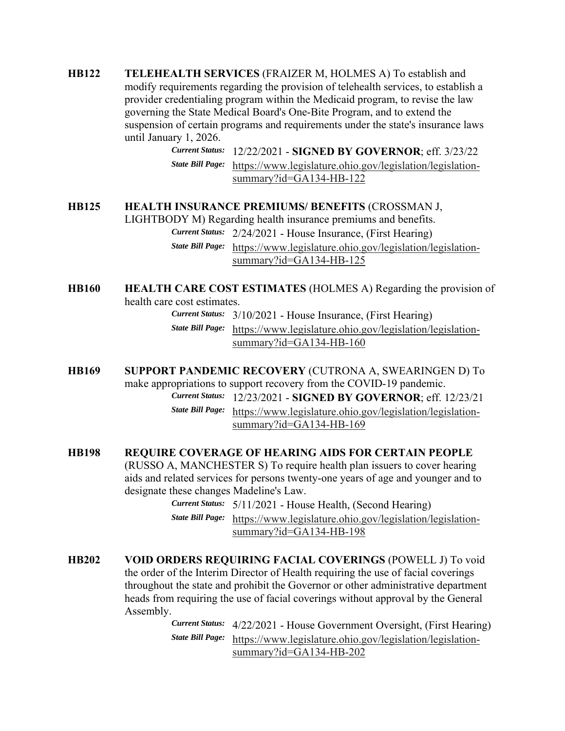**HB122 TELEHEALTH SERVICES** (FRAIZER M, HOLMES A) To establish and modify requirements regarding the provision of telehealth services, to establish a provider credentialing program within the Medicaid program, to revise the law governing the State Medical Board's One-Bite Program, and to extend the suspension of certain programs and requirements under the state's insurance laws until January 1, 2026.

> *Current Status:* 12/22/2021 - **SIGNED BY GOVERNOR**; eff. 3/23/22 *State Bill Page:* https://www.legislature.ohio.gov/legislation/legislationsummary?id=GA134-HB-122

#### **HB125 HEALTH INSURANCE PREMIUMS/ BENEFITS** (CROSSMAN J,

LIGHTBODY M) Regarding health insurance premiums and benefits. *Current Status:* 2/24/2021 - House Insurance, (First Hearing) *State Bill Page:* https://www.legislature.ohio.gov/legislation/legislationsummary?id=GA134-HB-125

**HB160 HEALTH CARE COST ESTIMATES** (HOLMES A) Regarding the provision of health care cost estimates.

*Current Status:* 3/10/2021 - House Insurance, (First Hearing)

 *State Bill Page:* https://www.legislature.ohio.gov/legislation/legislationsummary?id=GA134-HB-160

**HB169 SUPPORT PANDEMIC RECOVERY** (CUTRONA A, SWEARINGEN D) To make appropriations to support recovery from the COVID-19 pandemic.

 *Current Status:* 12/23/2021 - **SIGNED BY GOVERNOR**; eff. 12/23/21 *State Bill Page:* https://www.legislature.ohio.gov/legislation/legislationsummary?id=GA134-HB-169

### **HB198 REQUIRE COVERAGE OF HEARING AIDS FOR CERTAIN PEOPLE**

(RUSSO A, MANCHESTER S) To require health plan issuers to cover hearing aids and related services for persons twenty-one years of age and younger and to designate these changes Madeline's Law.

- *Current Status:* 5/11/2021 House Health, (Second Hearing) *State Bill Page:* https://www.legislature.ohio.gov/legislation/legislationsummary?id=GA134-HB-198
- **HB202 VOID ORDERS REQUIRING FACIAL COVERINGS** (POWELL J) To void the order of the Interim Director of Health requiring the use of facial coverings throughout the state and prohibit the Governor or other administrative department heads from requiring the use of facial coverings without approval by the General Assembly.

 *Current Status:* 4/22/2021 - House Government Oversight, (First Hearing) *State Bill Page:* https://www.legislature.ohio.gov/legislation/legislationsummary?id=GA134-HB-202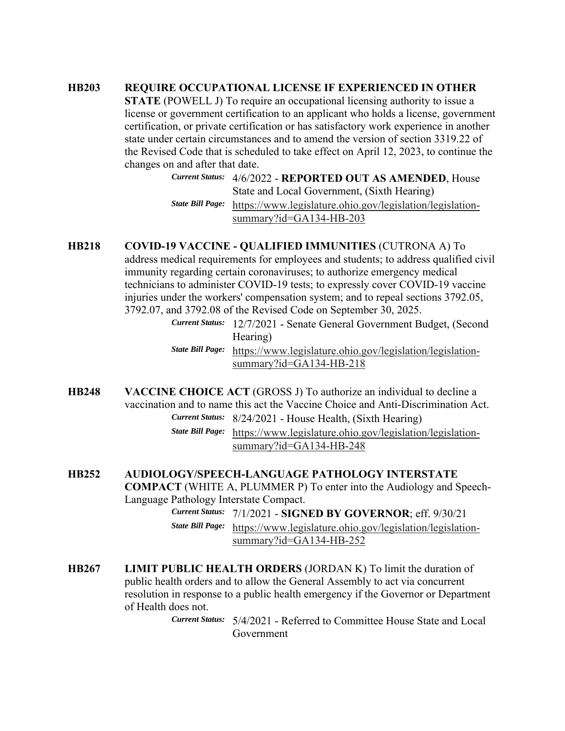#### **HB203 REQUIRE OCCUPATIONAL LICENSE IF EXPERIENCED IN OTHER**

**STATE** (POWELL J) To require an occupational licensing authority to issue a license or government certification to an applicant who holds a license, government certification, or private certification or has satisfactory work experience in another state under certain circumstances and to amend the version of section 3319.22 of the Revised Code that is scheduled to take effect on April 12, 2023, to continue the changes on and after that date.

> *Current Status:* 4/6/2022 - **REPORTED OUT AS AMENDED**, House State and Local Government, (Sixth Hearing) *State Bill Page:* https://www.legislature.ohio.gov/legislation/legislationsummary?id=GA134-HB-203

### **HB218 COVID-19 VACCINE - QUALIFIED IMMUNITIES** (CUTRONA A) To

address medical requirements for employees and students; to address qualified civil immunity regarding certain coronaviruses; to authorize emergency medical technicians to administer COVID-19 tests; to expressly cover COVID-19 vaccine injuries under the workers' compensation system; and to repeal sections 3792.05, 3792.07, and 3792.08 of the Revised Code on September 30, 2025.

> *Current Status:* 12/7/2021 - Senate General Government Budget, (Second Hearing) *State Bill Page:* https://www.legislature.ohio.gov/legislation/legislationsummary?id=GA134-HB-218

**HB248 VACCINE CHOICE ACT** (GROSS J) To authorize an individual to decline a vaccination and to name this act the Vaccine Choice and Anti-Discrimination Act. *Current Status:* 8/24/2021 - House Health, (Sixth Hearing)

 *State Bill Page:* https://www.legislature.ohio.gov/legislation/legislationsummary?id=GA134-HB-248

# **HB252 AUDIOLOGY/SPEECH-LANGUAGE PATHOLOGY INTERSTATE**

**COMPACT** (WHITE A, PLUMMER P) To enter into the Audiology and Speech-Language Pathology Interstate Compact.

 *Current Status:* 7/1/2021 - **SIGNED BY GOVERNOR**; eff. 9/30/21 *State Bill Page:* https://www.legislature.ohio.gov/legislation/legislationsummary?id=GA134-HB-252

**HB267 LIMIT PUBLIC HEALTH ORDERS** (JORDAN K) To limit the duration of public health orders and to allow the General Assembly to act via concurrent resolution in response to a public health emergency if the Governor or Department of Health does not.

> *Current Status:* 5/4/2021 - Referred to Committee House State and Local Government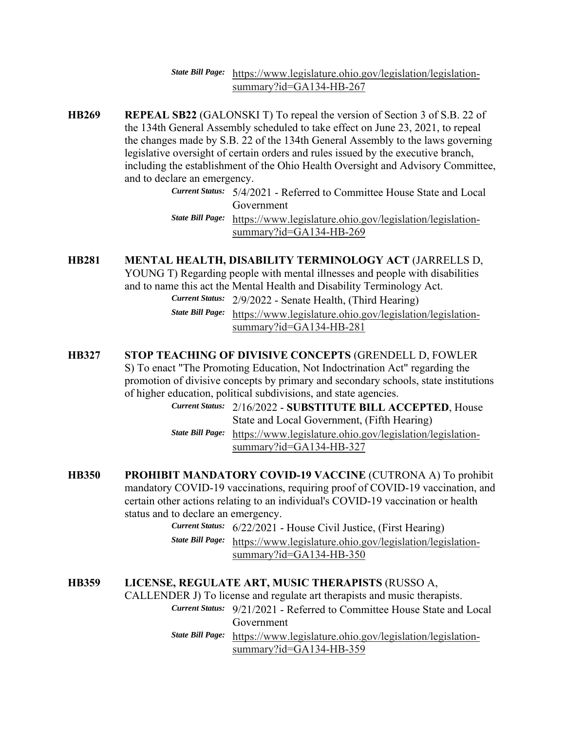### *State Bill Page:* https://www.legislature.ohio.gov/legislation/legislationsummary?id=GA134-HB-267

- **HB269 REPEAL SB22** (GALONSKI T) To repeal the version of Section 3 of S.B. 22 of the 134th General Assembly scheduled to take effect on June 23, 2021, to repeal the changes made by S.B. 22 of the 134th General Assembly to the laws governing legislative oversight of certain orders and rules issued by the executive branch, including the establishment of the Ohio Health Oversight and Advisory Committee, and to declare an emergency.
	- *Current Status:* 5/4/2021 Referred to Committee House State and Local Government *State Bill Page:* https://www.legislature.ohio.gov/legislation/legislation-

summary?id=GA134-HB-269

**HB281 MENTAL HEALTH, DISABILITY TERMINOLOGY ACT** (JARRELLS D,

YOUNG T) Regarding people with mental illnesses and people with disabilities and to name this act the Mental Health and Disability Terminology Act.

> *Current Status:* 2/9/2022 - Senate Health, (Third Hearing) *State Bill Page:* https://www.legislature.ohio.gov/legislation/legislation-

> > summary?id=GA134-HB-281

### **HB327 STOP TEACHING OF DIVISIVE CONCEPTS** (GRENDELL D, FOWLER

S) To enact "The Promoting Education, Not Indoctrination Act" regarding the promotion of divisive concepts by primary and secondary schools, state institutions of higher education, political subdivisions, and state agencies.

 *Current Status:* 2/16/2022 - **SUBSTITUTE BILL ACCEPTED**, House State and Local Government, (Fifth Hearing) *State Bill Page:* https://www.legislature.ohio.gov/legislation/legislationsummary?id=GA134-HB-327

- **HB350 PROHIBIT MANDATORY COVID-19 VACCINE** (CUTRONA A) To prohibit mandatory COVID-19 vaccinations, requiring proof of COVID-19 vaccination, and certain other actions relating to an individual's COVID-19 vaccination or health status and to declare an emergency.
	- *Current Status:* 6/22/2021 House Civil Justice, (First Hearing) *State Bill Page:* https://www.legislature.ohio.gov/legislation/legislationsummary?id=GA134-HB-350

#### **HB359 LICENSE, REGULATE ART, MUSIC THERAPISTS** (RUSSO A, CALLENDER J) To license and regulate art therapists and music therapists.

*Current Status:* 9/21/2021 - Referred to Committee House State and Local

Government

 *State Bill Page:* https://www.legislature.ohio.gov/legislation/legislationsummary?id=GA134-HB-359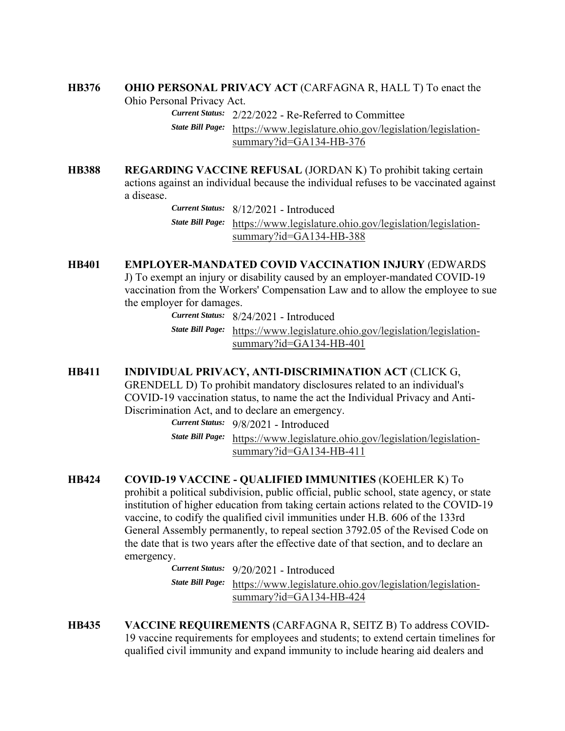# **HB376 OHIO PERSONAL PRIVACY ACT** (CARFAGNA R, HALL T) To enact the

Ohio Personal Privacy Act.

*Current Status:* 2/22/2022 - Re-Referred to Committee

 *State Bill Page:* https://www.legislature.ohio.gov/legislation/legislationsummary?id=GA134-HB-376

**HB388 REGARDING VACCINE REFUSAL** (JORDAN K) To prohibit taking certain actions against an individual because the individual refuses to be vaccinated against a disease.

 *Current Status:* 8/12/2021 - Introduced *State Bill Page:* https://www.legislature.ohio.gov/legislation/legislationsummary?id=GA134-HB-388

# **HB401 EMPLOYER-MANDATED COVID VACCINATION INJURY** (EDWARDS J) To exempt an injury or disability caused by an employer-mandated COVID-19 vaccination from the Workers' Compensation Law and to allow the employee to sue the employer for damages.

*Current Status:* 8/24/2021 - Introduced

 *State Bill Page:* https://www.legislature.ohio.gov/legislation/legislationsummary?id=GA134-HB-401

# **HB411 INDIVIDUAL PRIVACY, ANTI-DISCRIMINATION ACT** (CLICK G, GRENDELL D) To prohibit mandatory disclosures related to an individual's COVID-19 vaccination status, to name the act the Individual Privacy and Anti-Discrimination Act, and to declare an emergency.

*Current Status:* 9/8/2021 - Introduced

 *State Bill Page:* https://www.legislature.ohio.gov/legislation/legislationsummary?id=GA134-HB-411

**HB424 COVID-19 VACCINE - QUALIFIED IMMUNITIES** (KOEHLER K) To prohibit a political subdivision, public official, public school, state agency, or state institution of higher education from taking certain actions related to the COVID-19 vaccine, to codify the qualified civil immunities under H.B. 606 of the 133rd General Assembly permanently, to repeal section 3792.05 of the Revised Code on the date that is two years after the effective date of that section, and to declare an emergency.

 *Current Status:* 9/20/2021 - Introduced *State Bill Page:* https://www.legislature.ohio.gov/legislation/legislationsummary?id=GA134-HB-424

**HB435 VACCINE REQUIREMENTS** (CARFAGNA R, SEITZ B) To address COVID-19 vaccine requirements for employees and students; to extend certain timelines for qualified civil immunity and expand immunity to include hearing aid dealers and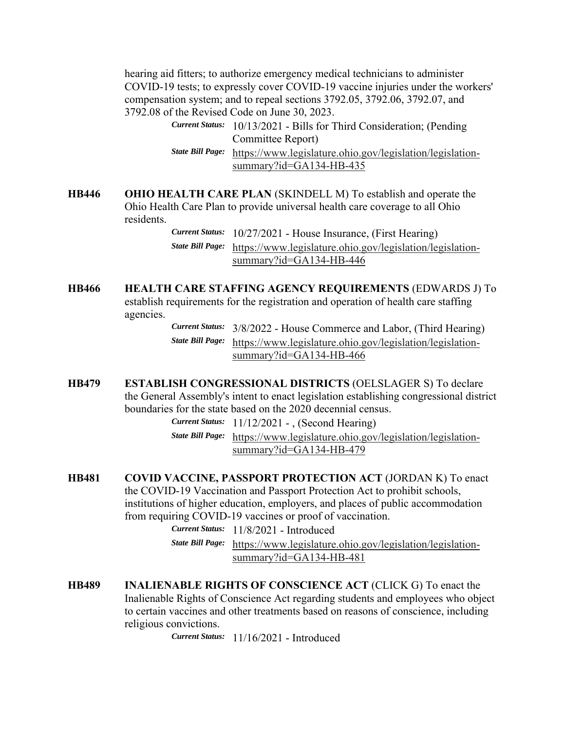hearing aid fitters; to authorize emergency medical technicians to administer COVID-19 tests; to expressly cover COVID-19 vaccine injuries under the workers' compensation system; and to repeal sections 3792.05, 3792.06, 3792.07, and 3792.08 of the Revised Code on June 30, 2023.

> *Current Status:* 10/13/2021 - Bills for Third Consideration; (Pending Committee Report) *State Bill Page:* https://www.legislature.ohio.gov/legislation/legislationsummary?id=GA134-HB-435

**HB446 OHIO HEALTH CARE PLAN** (SKINDELL M) To establish and operate the Ohio Health Care Plan to provide universal health care coverage to all Ohio residents.

> *Current Status:* 10/27/2021 - House Insurance, (First Hearing) *State Bill Page:* https://www.legislature.ohio.gov/legislation/legislationsummary?id=GA134-HB-446

**HB466 HEALTH CARE STAFFING AGENCY REQUIREMENTS** (EDWARDS J) To establish requirements for the registration and operation of health care staffing agencies.

 *Current Status:* 3/8/2022 - House Commerce and Labor, (Third Hearing) *State Bill Page:* https://www.legislature.ohio.gov/legislation/legislationsummary?id=GA134-HB-466

**HB479 ESTABLISH CONGRESSIONAL DISTRICTS** (OELSLAGER S) To declare the General Assembly's intent to enact legislation establishing congressional district boundaries for the state based on the 2020 decennial census.

*Current Status:* 11/12/2021 - , (Second Hearing)

 *State Bill Page:* https://www.legislature.ohio.gov/legislation/legislationsummary?id=GA134-HB-479

**HB481 COVID VACCINE, PASSPORT PROTECTION ACT** (JORDAN K) To enact the COVID-19 Vaccination and Passport Protection Act to prohibit schools, institutions of higher education, employers, and places of public accommodation from requiring COVID-19 vaccines or proof of vaccination.

*Current Status:* 11/8/2021 - Introduced

- *State Bill Page:* https://www.legislature.ohio.gov/legislation/legislationsummary?id=GA134-HB-481
- **HB489 INALIENABLE RIGHTS OF CONSCIENCE ACT** (CLICK G) To enact the Inalienable Rights of Conscience Act regarding students and employees who object to certain vaccines and other treatments based on reasons of conscience, including religious convictions.

*Current Status:* 11/16/2021 - Introduced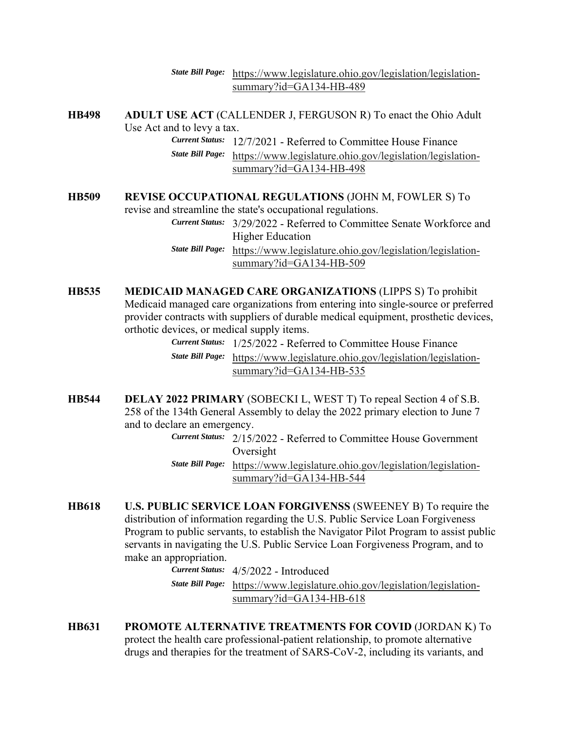#### *State Bill Page:* https://www.legislature.ohio.gov/legislation/legislationsummary?id=GA134-HB-489

**HB498 ADULT USE ACT** (CALLENDER J, FERGUSON R) To enact the Ohio Adult Use Act and to levy a tax. *Current Status:* 12/7/2021 - Referred to Committee House Finance

 *State Bill Page:* https://www.legislature.ohio.gov/legislation/legislationsummary?id=GA134-HB-498

# **HB509 REVISE OCCUPATIONAL REGULATIONS** (JOHN M, FOWLER S) To

revise and streamline the state's occupational regulations.

 *Current Status:* 3/29/2022 - Referred to Committee Senate Workforce and Higher Education

 *State Bill Page:* https://www.legislature.ohio.gov/legislation/legislationsummary?id=GA134-HB-509

**HB535 MEDICAID MANAGED CARE ORGANIZATIONS** (LIPPS S) To prohibit Medicaid managed care organizations from entering into single-source or preferred provider contracts with suppliers of durable medical equipment, prosthetic devices, orthotic devices, or medical supply items.

 *Current Status:* 1/25/2022 - Referred to Committee House Finance *State Bill Page:* https://www.legislature.ohio.gov/legislation/legislationsummary?id=GA134-HB-535

**HB544 DELAY 2022 PRIMARY** (SOBECKI L, WEST T) To repeal Section 4 of S.B. 258 of the 134th General Assembly to delay the 2022 primary election to June 7 and to declare an emergency.

 *Current Status:* 2/15/2022 - Referred to Committee House Government Oversight

- *State Bill Page:* https://www.legislature.ohio.gov/legislation/legislationsummary?id=GA134-HB-544
- **HB618 U.S. PUBLIC SERVICE LOAN FORGIVENSS** (SWEENEY B) To require the distribution of information regarding the U.S. Public Service Loan Forgiveness Program to public servants, to establish the Navigator Pilot Program to assist public servants in navigating the U.S. Public Service Loan Forgiveness Program, and to make an appropriation.

 *Current Status:* 4/5/2022 - Introduced *State Bill Page:* https://www.legislature.ohio.gov/legislation/legislationsummary?id=GA134-HB-618

**HB631 PROMOTE ALTERNATIVE TREATMENTS FOR COVID** (JORDAN K) To protect the health care professional-patient relationship, to promote alternative drugs and therapies for the treatment of SARS-CoV-2, including its variants, and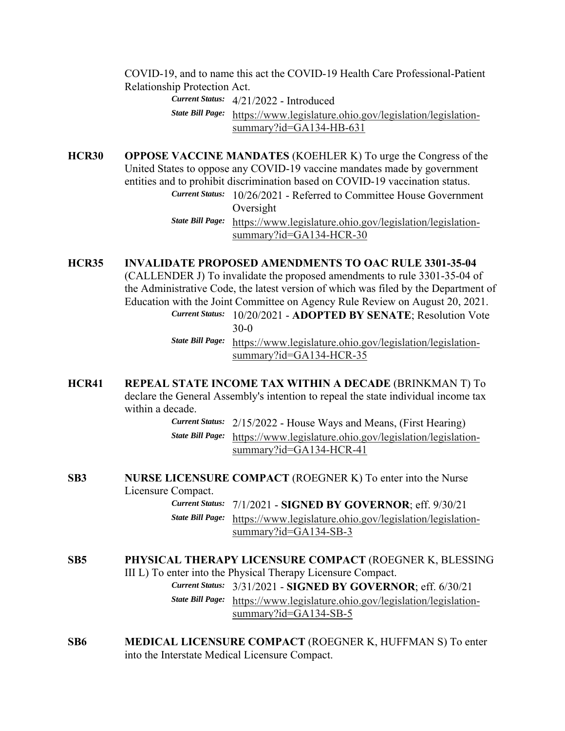COVID-19, and to name this act the COVID-19 Health Care Professional-Patient Relationship Protection Act.

 *Current Status:* 4/21/2022 - Introduced *State Bill Page:* https://www.legislature.ohio.gov/legislation/legislationsummary?id=GA134-HB-631

**HCR30 OPPOSE VACCINE MANDATES** (KOEHLER K) To urge the Congress of the United States to oppose any COVID-19 vaccine mandates made by government entities and to prohibit discrimination based on COVID-19 vaccination status.

 *Current Status:* 10/26/2021 - Referred to Committee House Government Oversight

 *State Bill Page:* https://www.legislature.ohio.gov/legislation/legislationsummary?id=GA134-HCR-30

### **HCR35 INVALIDATE PROPOSED AMENDMENTS TO OAC RULE 3301-35-04**

(CALLENDER J) To invalidate the proposed amendments to rule 3301-35-04 of the Administrative Code, the latest version of which was filed by the Department of Education with the Joint Committee on Agency Rule Review on August 20, 2021. *Current Status:* 10/20/2021 - **ADOPTED BY SENATE**; Resolution Vote 30-0

> *State Bill Page:* https://www.legislature.ohio.gov/legislation/legislationsummary?id=GA134-HCR-35

**HCR41 REPEAL STATE INCOME TAX WITHIN A DECADE** (BRINKMAN T) To declare the General Assembly's intention to repeal the state individual income tax within a decade.

> *Current Status:* 2/15/2022 - House Ways and Means, (First Hearing) *State Bill Page:* https://www.legislature.ohio.gov/legislation/legislationsummary?id=GA134-HCR-41

**SB3 NURSE LICENSURE COMPACT** (ROEGNER K) To enter into the Nurse Licensure Compact.

 *Current Status:* 7/1/2021 - **SIGNED BY GOVERNOR**; eff. 9/30/21 *State Bill Page:* https://www.legislature.ohio.gov/legislation/legislationsummary?id=GA134-SB-3

# **SB5 PHYSICAL THERAPY LICENSURE COMPACT** (ROEGNER K, BLESSING III L) To enter into the Physical Therapy Licensure Compact. *Current Status:* 3/31/2021 - **SIGNED BY GOVERNOR**; eff. 6/30/21 *State Bill Page:* https://www.legislature.ohio.gov/legislation/legislationsummary?id=GA134-SB-5

**SB6 MEDICAL LICENSURE COMPACT** (ROEGNER K, HUFFMAN S) To enter into the Interstate Medical Licensure Compact.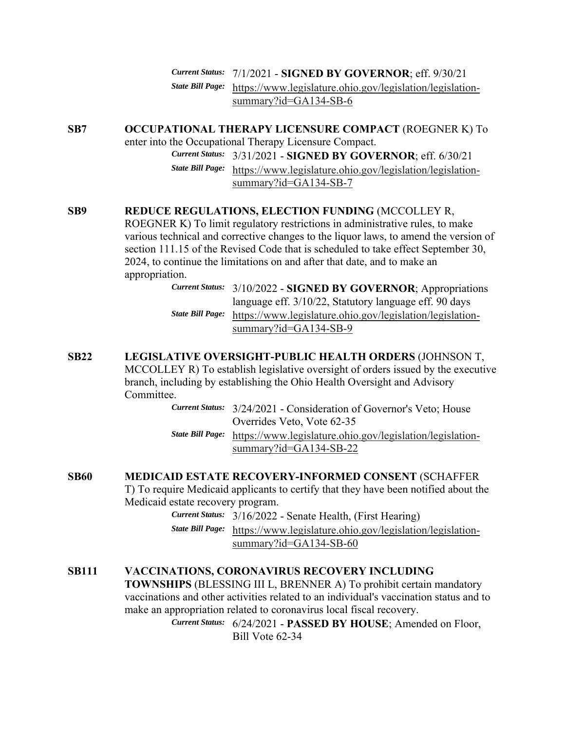*Current Status:* 7/1/2021 - **SIGNED BY GOVERNOR**; eff. 9/30/21 *State Bill Page:* https://www.legislature.ohio.gov/legislation/legislationsummary?id=GA134-SB-6

# **SB7 OCCUPATIONAL THERAPY LICENSURE COMPACT** (ROEGNER K) To

enter into the Occupational Therapy Licensure Compact.

 *Current Status:* 3/31/2021 - **SIGNED BY GOVERNOR**; eff. 6/30/21 *State Bill Page:* https://www.legislature.ohio.gov/legislation/legislationsummary?id=GA134-SB-7

## **SB9 REDUCE REGULATIONS, ELECTION FUNDING** (MCCOLLEY R,

ROEGNER K) To limit regulatory restrictions in administrative rules, to make various technical and corrective changes to the liquor laws, to amend the version of section 111.15 of the Revised Code that is scheduled to take effect September 30, 2024, to continue the limitations on and after that date, and to make an appropriation.

> *Current Status:* 3/10/2022 - **SIGNED BY GOVERNOR**; Appropriations language eff. 3/10/22, Statutory language eff. 90 days *State Bill Page:* https://www.legislature.ohio.gov/legislation/legislationsummary?id=GA134-SB-9

# **SB22 LEGISLATIVE OVERSIGHT-PUBLIC HEALTH ORDERS** (JOHNSON T, MCCOLLEY R) To establish legislative oversight of orders issued by the executive branch, including by establishing the Ohio Health Oversight and Advisory Committee.

 *Current Status:* 3/24/2021 - Consideration of Governor's Veto; House Overrides Veto, Vote 62-35 *State Bill Page:* https://www.legislature.ohio.gov/legislation/legislationsummary?id=GA134-SB-22

## **SB60 MEDICAID ESTATE RECOVERY-INFORMED CONSENT** (SCHAFFER

T) To require Medicaid applicants to certify that they have been notified about the Medicaid estate recovery program.

*Current Status:* 3/16/2022 - Senate Health, (First Hearing)

 *State Bill Page:* https://www.legislature.ohio.gov/legislation/legislationsummary?id=GA134-SB-60

# **SB111 VACCINATIONS, CORONAVIRUS RECOVERY INCLUDING**

**TOWNSHIPS** (BLESSING III L, BRENNER A) To prohibit certain mandatory vaccinations and other activities related to an individual's vaccination status and to make an appropriation related to coronavirus local fiscal recovery.

 *Current Status:* 6/24/2021 - **PASSED BY HOUSE**; Amended on Floor, Bill Vote 62-34